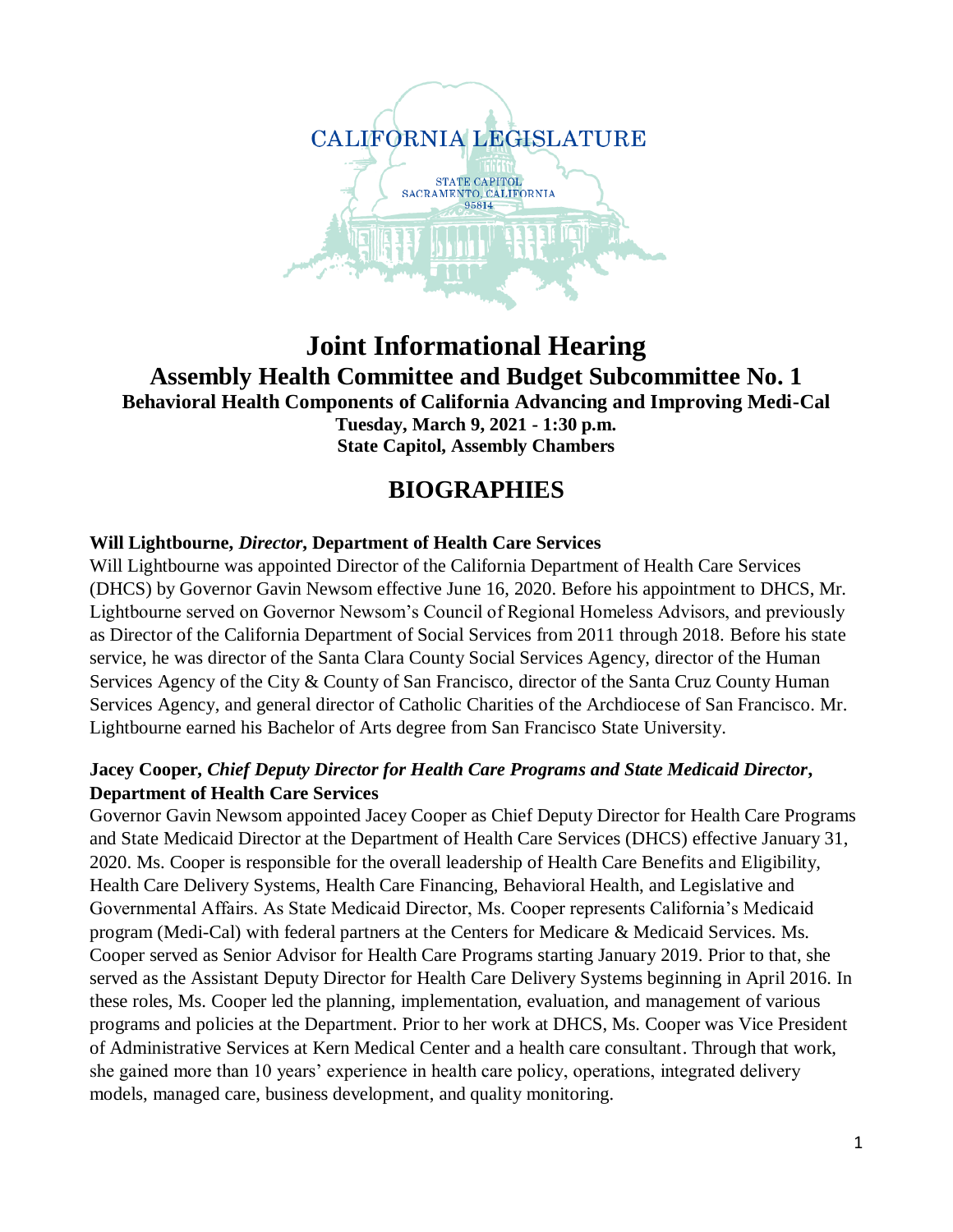

# **Joint Informational Hearing Assembly Health Committee and Budget Subcommittee No. 1 Behavioral Health Components of California Advancing and Improving Medi-Cal Tuesday, March 9, 2021 - 1:30 p.m. State Capitol, Assembly Chambers**

# **BIOGRAPHIES**

# **Will Lightbourne,** *Director***, Department of Health Care Services**

Will Lightbourne was appointed Director of the California Department of Health Care Services (DHCS) by Governor Gavin Newsom effective June 16, 2020. Before his appointment to DHCS, Mr. Lightbourne served on Governor Newsom's Council of Regional Homeless Advisors, and previously as Director of the California Department of Social Services from 2011 through 2018. Before his state service, he was director of the Santa Clara County Social Services Agency, director of the Human Services Agency of the City & County of San Francisco, director of the Santa Cruz County Human Services Agency, and general director of Catholic Charities of the Archdiocese of San Francisco. Mr. Lightbourne earned his Bachelor of Arts degree from San Francisco State University.

### **Jacey Cooper,** *Chief Deputy Director for Health Care Programs and State Medicaid Director***, Department of Health Care Services**

Governor Gavin Newsom appointed Jacey Cooper as Chief Deputy Director for Health Care Programs and State Medicaid Director at the Department of Health Care Services (DHCS) effective January 31, 2020. Ms. Cooper is responsible for the overall leadership of Health Care Benefits and Eligibility, Health Care Delivery Systems, Health Care Financing, Behavioral Health, and Legislative and Governmental Affairs. As State Medicaid Director, Ms. Cooper represents California's Medicaid program (Medi-Cal) with federal partners at the Centers for Medicare & Medicaid Services. Ms. Cooper served as Senior Advisor for Health Care Programs starting January 2019. Prior to that, she served as the Assistant Deputy Director for Health Care Delivery Systems beginning in April 2016. In these roles, Ms. Cooper led the planning, implementation, evaluation, and management of various programs and policies at the Department. Prior to her work at DHCS, Ms. Cooper was Vice President of Administrative Services at Kern Medical Center and a health care consultant. Through that work, she gained more than 10 years' experience in health care policy, operations, integrated delivery models, managed care, business development, and quality monitoring.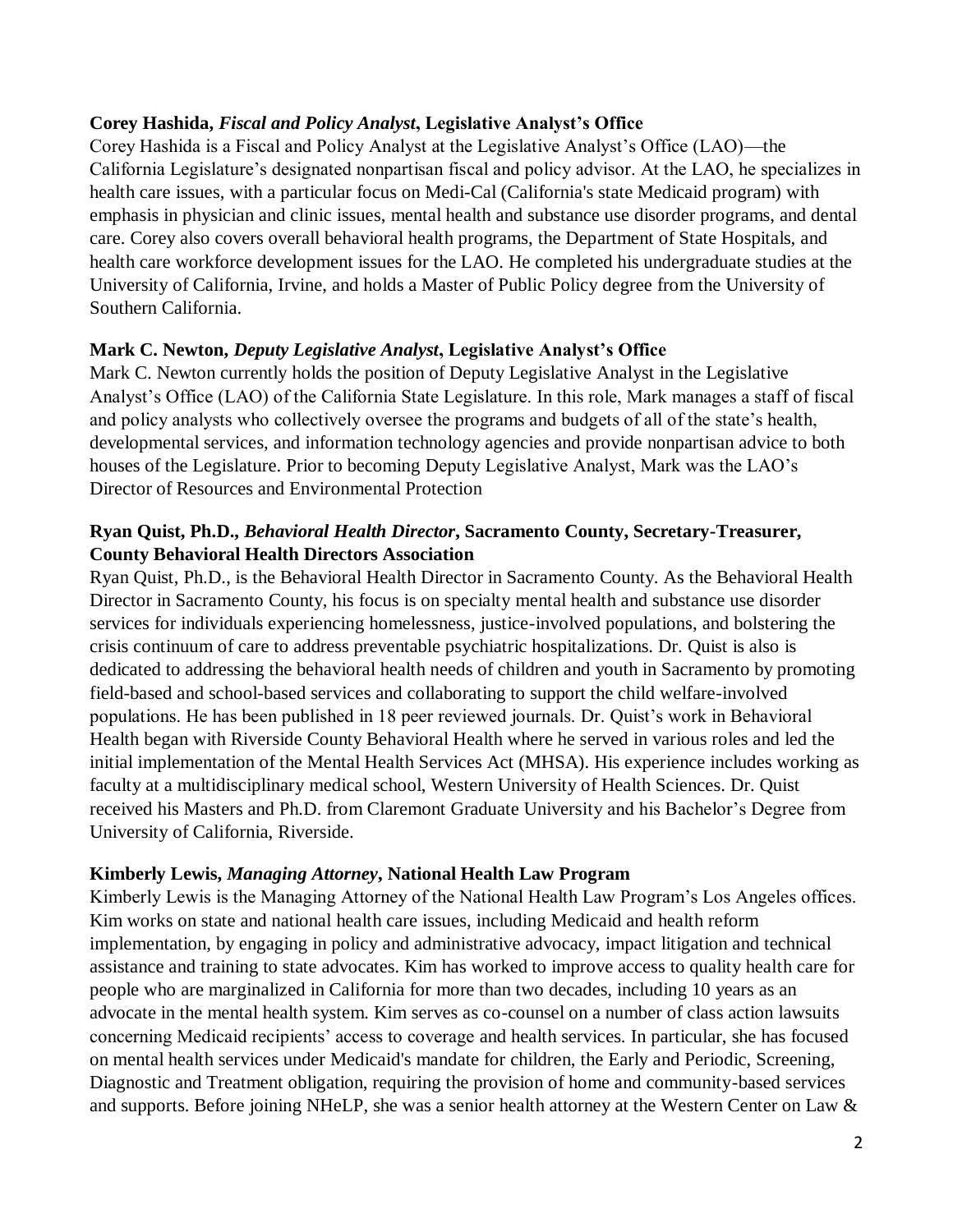#### **Corey Hashida,** *Fiscal and Policy Analyst***, Legislative Analyst's Office**

Corey Hashida is a Fiscal and Policy Analyst at the Legislative Analyst's Office (LAO)—the California Legislature's designated nonpartisan fiscal and policy advisor. At the LAO, he specializes in health care issues, with a particular focus on Medi-Cal (California's state Medicaid program) with emphasis in physician and clinic issues, mental health and substance use disorder programs, and dental care. Corey also covers overall behavioral health programs, the Department of State Hospitals, and health care workforce development issues for the LAO. He completed his undergraduate studies at the University of California, Irvine, and holds a Master of Public Policy degree from the University of Southern California.

### **Mark C. Newton,** *Deputy Legislative Analyst***, Legislative Analyst's Office**

Mark C. Newton currently holds the position of Deputy Legislative Analyst in the Legislative Analyst's Office (LAO) of the California State Legislature. In this role, Mark manages a staff of fiscal and policy analysts who collectively oversee the programs and budgets of all of the state's health, developmental services, and information technology agencies and provide nonpartisan advice to both houses of the Legislature. Prior to becoming Deputy Legislative Analyst, Mark was the LAO's Director of Resources and Environmental Protection

# **Ryan Quist, Ph.D.,** *Behavioral Health Director***, Sacramento County, Secretary-Treasurer, County Behavioral Health Directors Association**

Ryan Quist, Ph.D., is the Behavioral Health Director in Sacramento County. As the Behavioral Health Director in Sacramento County, his focus is on specialty mental health and substance use disorder services for individuals experiencing homelessness, justice-involved populations, and bolstering the crisis continuum of care to address preventable psychiatric hospitalizations. Dr. Quist is also is dedicated to addressing the behavioral health needs of children and youth in Sacramento by promoting field-based and school-based services and collaborating to support the child welfare-involved populations. He has been published in 18 peer reviewed journals. Dr. Quist's work in Behavioral Health began with Riverside County Behavioral Health where he served in various roles and led the initial implementation of the Mental Health Services Act (MHSA). His experience includes working as faculty at a multidisciplinary medical school, Western University of Health Sciences. Dr. Quist received his Masters and Ph.D. from Claremont Graduate University and his Bachelor's Degree from University of California, Riverside.

# **Kimberly Lewis,** *Managing Attorney***, National Health Law Program**

Kimberly Lewis is the Managing Attorney of the National Health Law Program's Los Angeles offices. Kim works on state and national health care issues, including Medicaid and health reform implementation, by engaging in policy and administrative advocacy, impact litigation and technical assistance and training to state advocates. Kim has worked to improve access to quality health care for people who are marginalized in California for more than two decades, including 10 years as an advocate in the mental health system. Kim serves as co-counsel on a number of class action lawsuits concerning Medicaid recipients' access to coverage and health services. In particular, she has focused on mental health services under Medicaid's mandate for children, the Early and Periodic, Screening, Diagnostic and Treatment obligation, requiring the provision of home and community-based services and supports. Before joining NHeLP, she was a senior health attorney at the Western Center on Law &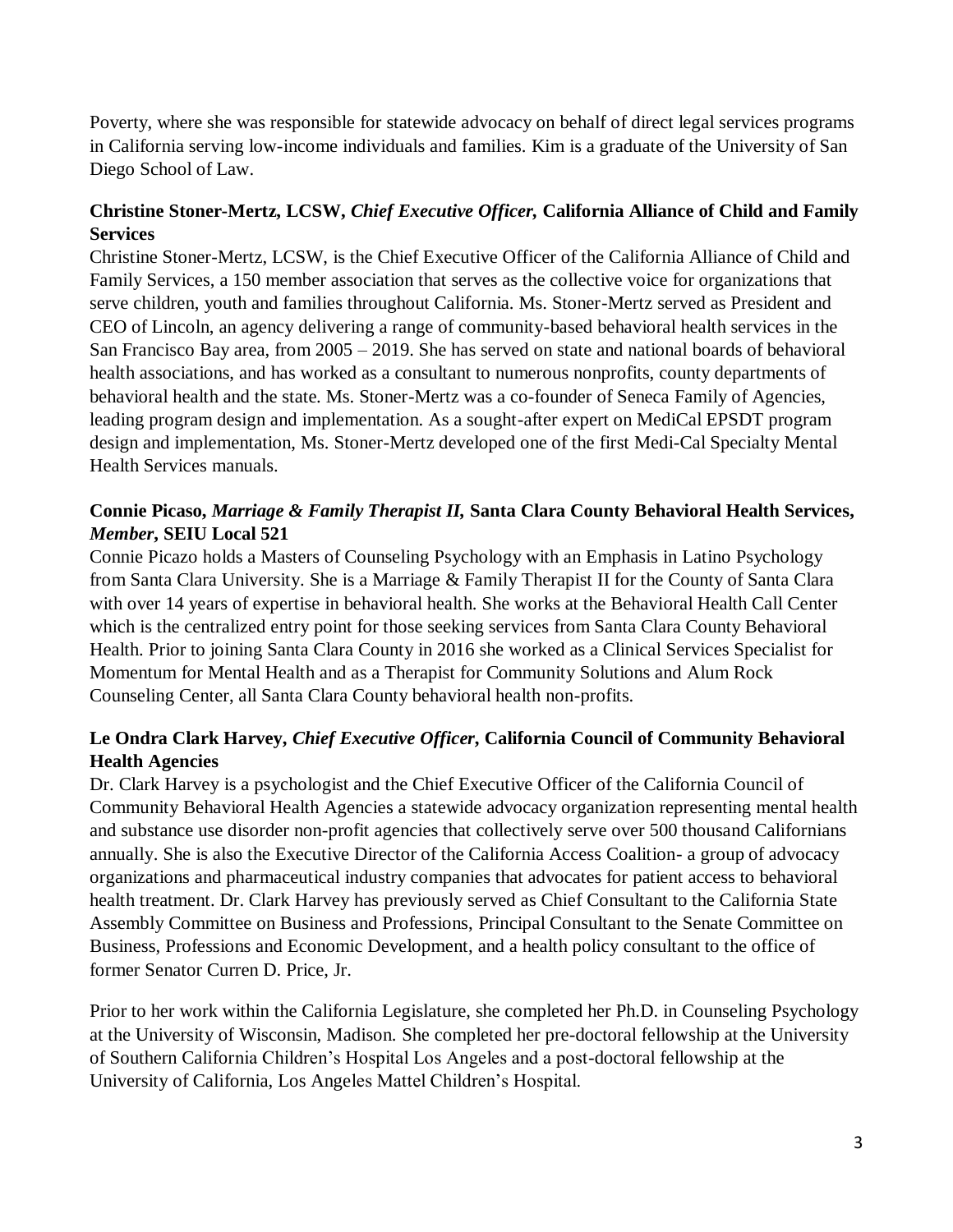Poverty, where she was responsible for statewide advocacy on behalf of direct legal services programs in California serving low-income individuals and families. Kim is a graduate of the University of San Diego School of Law.

# **Christine Stoner-Mertz, LCSW,** *Chief Executive Officer,* **California Alliance of Child and Family Services**

Christine Stoner-Mertz, LCSW, is the Chief Executive Officer of the California Alliance of Child and Family Services, a 150 member association that serves as the collective voice for organizations that serve children, youth and families throughout California. Ms. Stoner-Mertz served as President and CEO of Lincoln, an agency delivering a range of community-based behavioral health services in the San Francisco Bay area, from 2005 – 2019. She has served on state and national boards of behavioral health associations, and has worked as a consultant to numerous nonprofits, county departments of behavioral health and the state. Ms. Stoner-Mertz was a co-founder of Seneca Family of Agencies, leading program design and implementation. As a sought-after expert on MediCal EPSDT program design and implementation, Ms. Stoner-Mertz developed one of the first Medi-Cal Specialty Mental Health Services manuals.

# **Connie Picaso,** *Marriage & Family Therapist II,* **Santa Clara County Behavioral Health Services,**  *Member***, SEIU Local 521**

Connie Picazo holds a Masters of Counseling Psychology with an Emphasis in Latino Psychology from Santa Clara University. She is a Marriage & Family Therapist II for the County of Santa Clara with over 14 years of expertise in behavioral health. She works at the Behavioral Health Call Center which is the centralized entry point for those seeking services from Santa Clara County Behavioral Health. Prior to joining Santa Clara County in 2016 she worked as a Clinical Services Specialist for Momentum for Mental Health and as a Therapist for Community Solutions and Alum Rock Counseling Center, all Santa Clara County behavioral health non-profits.

# **Le Ondra Clark Harvey,** *Chief Executive Officer***, California Council of Community Behavioral Health Agencies**

Dr. Clark Harvey is a psychologist and the Chief Executive Officer of the California Council of Community Behavioral Health Agencies a statewide advocacy organization representing mental health and substance use disorder non-profit agencies that collectively serve over 500 thousand Californians annually. She is also the Executive Director of the California Access Coalition- a group of advocacy organizations and pharmaceutical industry companies that advocates for patient access to behavioral health treatment. Dr. Clark Harvey has previously served as Chief Consultant to the California State Assembly Committee on Business and Professions, Principal Consultant to the Senate Committee on Business, Professions and Economic Development, and a health policy consultant to the office of former Senator Curren D. Price, Jr.

Prior to her work within the California Legislature, she completed her Ph.D. in Counseling Psychology at the University of Wisconsin, Madison. She completed her pre-doctoral fellowship at the University of Southern California Children's Hospital Los Angeles and a post-doctoral fellowship at the University of California, Los Angeles Mattel Children's Hospital.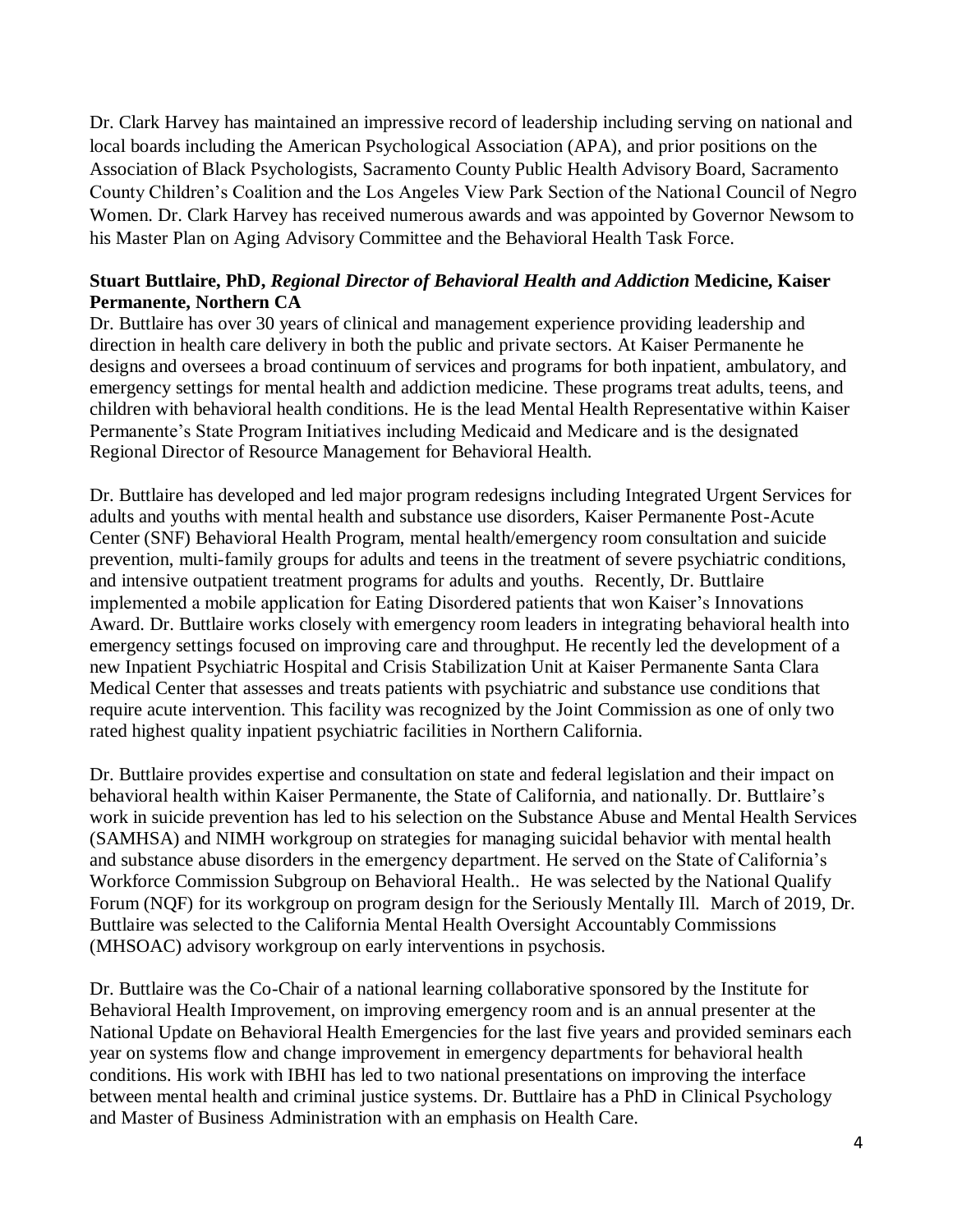Dr. Clark Harvey has maintained an impressive record of leadership including serving on national and local boards including the American Psychological Association (APA), and prior positions on the Association of Black Psychologists, Sacramento County Public Health Advisory Board, Sacramento County Children's Coalition and the Los Angeles View Park Section of the National Council of Negro Women. Dr. Clark Harvey has received numerous awards and was appointed by Governor Newsom to his Master Plan on Aging Advisory Committee and the Behavioral Health Task Force.

#### **Stuart Buttlaire, PhD,** *Regional Director of Behavioral Health and Addiction* **Medicine, Kaiser Permanente, Northern CA**

Dr. Buttlaire has over 30 years of clinical and management experience providing leadership and direction in health care delivery in both the public and private sectors. At Kaiser Permanente he designs and oversees a broad continuum of services and programs for both inpatient, ambulatory, and emergency settings for mental health and addiction medicine. These programs treat adults, teens, and children with behavioral health conditions. He is the lead Mental Health Representative within Kaiser Permanente's State Program Initiatives including Medicaid and Medicare and is the designated Regional Director of Resource Management for Behavioral Health.

Dr. Buttlaire has developed and led major program redesigns including Integrated Urgent Services for adults and youths with mental health and substance use disorders, Kaiser Permanente Post-Acute Center (SNF) Behavioral Health Program, mental health/emergency room consultation and suicide prevention, multi-family groups for adults and teens in the treatment of severe psychiatric conditions, and intensive outpatient treatment programs for adults and youths. Recently, Dr. Buttlaire implemented a mobile application for Eating Disordered patients that won Kaiser's Innovations Award. Dr. Buttlaire works closely with emergency room leaders in integrating behavioral health into emergency settings focused on improving care and throughput. He recently led the development of a new Inpatient Psychiatric Hospital and Crisis Stabilization Unit at Kaiser Permanente Santa Clara Medical Center that assesses and treats patients with psychiatric and substance use conditions that require acute intervention. This facility was recognized by the Joint Commission as one of only two rated highest quality inpatient psychiatric facilities in Northern California.

Dr. Buttlaire provides expertise and consultation on state and federal legislation and their impact on behavioral health within Kaiser Permanente, the State of California, and nationally. Dr. Buttlaire's work in suicide prevention has led to his selection on the Substance Abuse and Mental Health Services (SAMHSA) and NIMH workgroup on strategies for managing suicidal behavior with mental health and substance abuse disorders in the emergency department. He served on the State of California's Workforce Commission Subgroup on Behavioral Health.. He was selected by the National Qualify Forum (NQF) for its workgroup on program design for the Seriously Mentally Ill. March of 2019, Dr. Buttlaire was selected to the California Mental Health Oversight Accountably Commissions (MHSOAC) advisory workgroup on early interventions in psychosis.

Dr. Buttlaire was the Co-Chair of a national learning collaborative sponsored by the Institute for Behavioral Health Improvement, on improving emergency room and is an annual presenter at the National Update on Behavioral Health Emergencies for the last five years and provided seminars each year on systems flow and change improvement in emergency departments for behavioral health conditions. His work with IBHI has led to two national presentations on improving the interface between mental health and criminal justice systems. Dr. Buttlaire has a PhD in Clinical Psychology and Master of Business Administration with an emphasis on Health Care.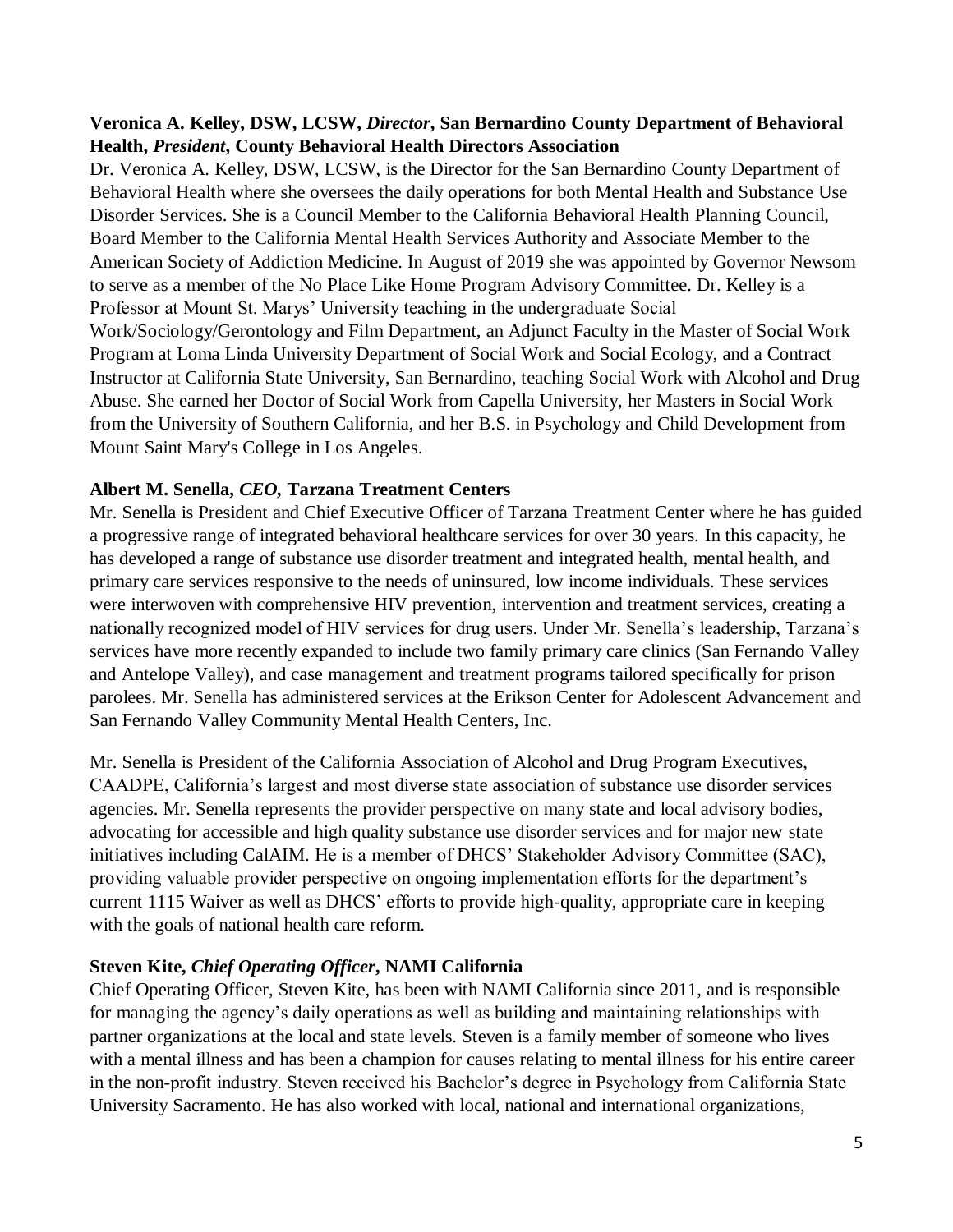### **Veronica A. Kelley, DSW, LCSW,** *Director***, San Bernardino County Department of Behavioral Health,** *President***, County Behavioral Health Directors Association**

Dr. Veronica A. Kelley, DSW, LCSW, is the Director for the San Bernardino County Department of Behavioral Health where she oversees the daily operations for both Mental Health and Substance Use Disorder Services. She is a Council Member to the California Behavioral Health Planning Council, Board Member to the California Mental Health Services Authority and Associate Member to the American Society of Addiction Medicine. In August of 2019 she was appointed by Governor Newsom to serve as a member of the No Place Like Home Program Advisory Committee. Dr. Kelley is a Professor at Mount St. Marys' University teaching in the undergraduate Social Work/Sociology/Gerontology and Film Department, an Adjunct Faculty in the Master of Social Work Program at Loma Linda University Department of Social Work and Social Ecology, and a Contract Instructor at California State University, San Bernardino, teaching Social Work with Alcohol and Drug Abuse. She earned her Doctor of Social Work from Capella University, her Masters in Social Work from the University of Southern California, and her B.S. in Psychology and Child Development from Mount Saint Mary's College in Los Angeles.

#### **Albert M. Senella,** *CEO,* **Tarzana Treatment Centers**

Mr. Senella is President and Chief Executive Officer of Tarzana Treatment Center where he has guided a progressive range of integrated behavioral healthcare services for over 30 years. In this capacity, he has developed a range of substance use disorder treatment and integrated health, mental health, and primary care services responsive to the needs of uninsured, low income individuals. These services were interwoven with comprehensive HIV prevention, intervention and treatment services, creating a nationally recognized model of HIV services for drug users. Under Mr. Senella's leadership, Tarzana's services have more recently expanded to include two family primary care clinics (San Fernando Valley and Antelope Valley), and case management and treatment programs tailored specifically for prison parolees. Mr. Senella has administered services at the Erikson Center for Adolescent Advancement and San Fernando Valley Community Mental Health Centers, Inc.

Mr. Senella is President of the California Association of Alcohol and Drug Program Executives, CAADPE, California's largest and most diverse state association of substance use disorder services agencies. Mr. Senella represents the provider perspective on many state and local advisory bodies, advocating for accessible and high quality substance use disorder services and for major new state initiatives including CalAIM. He is a member of DHCS' Stakeholder Advisory Committee (SAC), providing valuable provider perspective on ongoing implementation efforts for the department's current 1115 Waiver as well as DHCS' efforts to provide high-quality, appropriate care in keeping with the goals of national health care reform.

#### **Steven Kite,** *Chief Operating Officer***, NAMI California**

Chief Operating Officer, Steven Kite, has been with NAMI California since 2011, and is responsible for managing the agency's daily operations as well as building and maintaining relationships with partner organizations at the local and state levels. Steven is a family member of someone who lives with a mental illness and has been a champion for causes relating to mental illness for his entire career in the non-profit industry. Steven received his Bachelor's degree in Psychology from California State University Sacramento. He has also worked with local, national and international organizations,